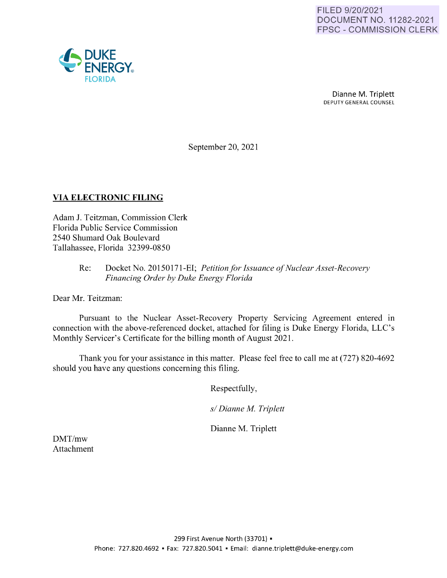

Dianne M. Triplett DEPUTY GENERAL COUNSEL

September 20, 2021

## **VIA ELECTRONIC FILING**

Adam J. Teitzman, Commission Clerk Florida Public Service Commission 2540 Shumard Oak Boulevard Tallahassee, Florida 32399-0850

## Re: Docket No. 20150171-EI; *Petition for Issuance of Nuclear Asset-Recovery Financing Order by Duke Energy Florida*

Dear Mr. Teitzman:

Pursuant to the Nuclear Asset-Recovery Property Servicing Agreement entered in connection with the above-referenced docket, attached for filing is Duke Energy Florida, LLC's Monthly Servicer's Certificate for the billing month of August 2021.

Thank you for your assistance in this matter. Please feel free to call me at (727) 820-4692 should you have any questions concerning this filing.

Respectfully,

*s/ Dianne M. Triplett* 

Dianne M. Triplett

DMT/mw Attachment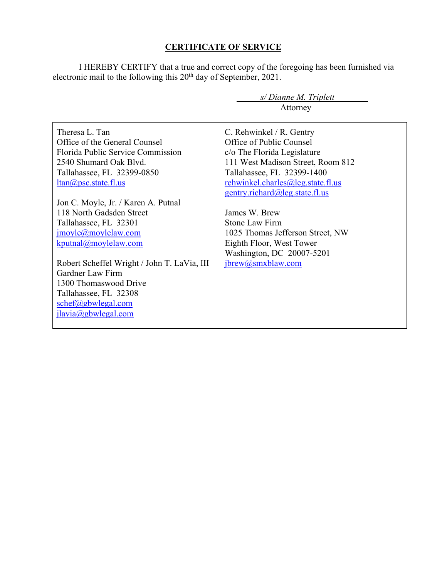## **CERTIFICATE OF SERVICE**

I HEREBY CERTIFY that a true and correct copy of the foregoing has been furnished via electronic mail to the following this  $20<sup>th</sup>$  day of September, 2021.

|                                             | s/Dianne M. Triplett              |  |  |
|---------------------------------------------|-----------------------------------|--|--|
|                                             | Attorney                          |  |  |
|                                             |                                   |  |  |
| Theresa L. Tan                              | C. Rehwinkel / R. Gentry          |  |  |
| Office of the General Counsel               | Office of Public Counsel          |  |  |
| Florida Public Service Commission           | c/o The Florida Legislature       |  |  |
| 2540 Shumard Oak Blyd.                      | 111 West Madison Street, Room 812 |  |  |
| Tallahassee, FL 32399-0850                  | Tallahassee, FL 32399-1400        |  |  |
| $ltan(a)$ psc.state.fl.us                   | rehwinkel.charles@leg.state.fl.us |  |  |
|                                             | gentry.richard@leg.state.fl.us    |  |  |
| Jon C. Moyle, Jr. / Karen A. Putnal         |                                   |  |  |
| 118 North Gadsden Street                    | James W. Brew                     |  |  |
| Tallahassee, FL 32301                       | Stone Law Firm                    |  |  |
| jmoyle@moylelaw.com                         | 1025 Thomas Jefferson Street, NW  |  |  |
| kputnal@moylelaw.com                        | Eighth Floor, West Tower          |  |  |
|                                             | Washington, DC 20007-5201         |  |  |
| Robert Scheffel Wright / John T. LaVia, III | jbrew@smxblaw.com                 |  |  |
| Gardner Law Firm                            |                                   |  |  |
| 1300 Thomaswood Drive                       |                                   |  |  |
| Tallahassee, FL 32308                       |                                   |  |  |
| schef@gbwlegal.com                          |                                   |  |  |
| jlavia@gbwlegal.com                         |                                   |  |  |
|                                             |                                   |  |  |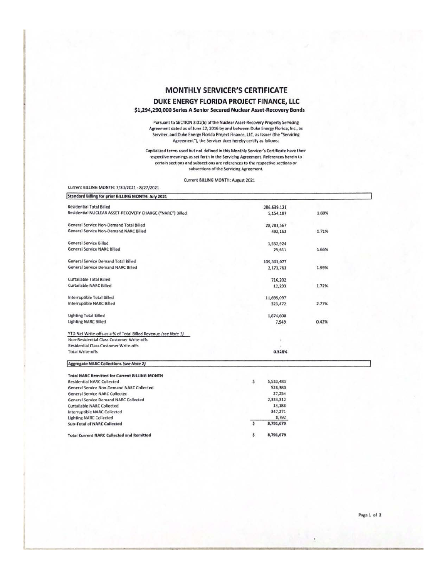## **MONTHLY SERVICER'S CERTIFICATE** DUKE ENERGY FLORIDA PROJECT FINANCE, LLC \$1,294,290,000 Series A Senior Secured Nuclear Asset-Recovery Bonds

Pursuant to SECTION 3.01(b) of the Nuclear Asset-Recovery Property Servicing<br>Agreement dated as of June 22, 2016 by and between Duke Energy Florida, Inc., as Servicer, and Duke Energy Florida Project Finance, LLC, as Issuer (the "Servicing Agreement"), the Servicer does hereby certify as follows:

Capitalized terms used but not defined in this Monthly Servicer's Certificate have their respective meanings as set forth in the Servicing Agreement. References herein to certain sections and subsections are references to the respective sections or subsections of the Servicing Agreement.

Current BILLING MONTH: August 2021

| Current BILLING MONTH: 7/30/2021 - 8/27/2021                   |           |             |       |  |  |
|----------------------------------------------------------------|-----------|-------------|-------|--|--|
| Standard Billing for prior BILLING MONTH: July 2021            |           |             |       |  |  |
| <b>Residential Total Billed</b>                                |           | 286,639,121 |       |  |  |
| Residential NUCLEAR ASSET-RECOVERY CHARGE ("NARC") Billed      |           | 5,154,187   | 1.80% |  |  |
| General Service Non-Demand Total Billed                        |           | 28,783,567  |       |  |  |
| General Service Non-Demand NARC Billed                         |           | 492,152     | 1.71% |  |  |
| General Service Billed                                         |           | 1,552,924   |       |  |  |
| <b>General Service NARC Billed</b>                             |           | 25,611      | 1.65% |  |  |
| General Service Demand Total Billed                            |           | 109,303,077 |       |  |  |
| General Service Demand NARC Billed                             | 2,173,763 |             | 1.99% |  |  |
| Curtailable Total Billed                                       |           | 716,202     |       |  |  |
| Curtailable NARC Billed                                        |           | 12,293      | 1.72% |  |  |
| Interruptible Total Billed                                     |           | 11,695,097  |       |  |  |
| Interruptible NARC Billed                                      |           | 323,472     | 2.77% |  |  |
| <b>Lighting Total Billed</b>                                   |           | 1,874,600   |       |  |  |
| <b>Lighting NARC Billed</b>                                    |           | 7,949       | 0.42% |  |  |
| YTD Net Write-offs as a % of Total Billed Revenue (see Note 1) |           |             |       |  |  |
| Non-Residential Class Customer Write-offs                      |           |             |       |  |  |
| Residential Class Customer Write-offs                          |           |             |       |  |  |
| <b>Total Write-offs</b>                                        | 0.328%    |             |       |  |  |
| <b>Aggregate NARC Collections (see Note 2)</b>                 |           |             |       |  |  |
| <b>Total NARC Remitted for Current BILLING MONTH</b>           |           |             |       |  |  |
| <b>Residential NARC Collected</b>                              | s         | 5,533,483   |       |  |  |
| General Service Non-Demand NARC Collected                      |           | 528,380     |       |  |  |
| <b>General Service NARC Collected</b>                          |           | 27,254      |       |  |  |
| General Service Demand NARC Collected                          |           | 2,333,312   |       |  |  |
| Curtailable NARC Collected                                     |           | 13,188      |       |  |  |
| Interruptible NARC Collected                                   |           | 347,271     |       |  |  |
| <b>Lighting NARC Collected</b>                                 |           | 8,792       |       |  |  |
| <b>Sub-Total of NARC Collected</b>                             | s         | 8,791,679   |       |  |  |

8,791,679

ŝ

**Total Current NARC Collected and Remitted** 

Page 1 of 2